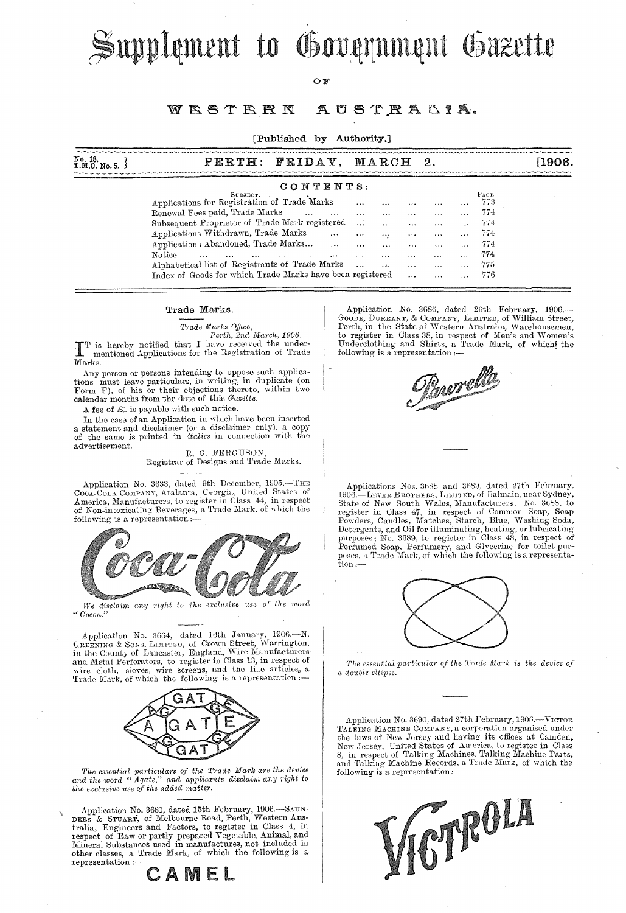Supplement to Government Gazette

## OF.

#### WESTERN AUSTRALIA.

## [Published by Authority.]

| No. 18.<br>T.M.O. No. 5. | <b>FRIDAY</b><br>PERTH:                                                                                  |                      | MARCH                    |                      |                      |                                  |             |  |
|--------------------------|----------------------------------------------------------------------------------------------------------|----------------------|--------------------------|----------------------|----------------------|----------------------------------|-------------|--|
|                          | CONTENTS:                                                                                                |                      |                          |                      |                      |                                  |             |  |
|                          | SUBJECT.<br>Applications for Registration of Trade Marks                                                 |                      |                          | $\cdots$             | $\cdots$             |                                  | PAGE<br>773 |  |
|                          | Renewal Fees paid, Trade Marks<br>$\cdots$<br>$\cdots$<br>Subsequent Proprietor of Trade Mark registered | $\cdots$<br>$\cdots$ | $\cdots$<br>$\ddotsc$    | <br>                 | $\cdots$<br>$\cdots$ | $\cdots$<br>$\cdots$             | 774<br>774  |  |
|                          | Applications Withdrawn, Trade Marks<br>$\cdots$<br>Applications Abandoned, Trade Marks<br>$\cdots$       | $\cdots$<br>$\cdots$ | $\cdots$<br>$\cdots$     | $\cdots$<br>         | $\cdots$<br>$\cdots$ | $\cdots$<br>$\cdots$             | 774<br>774  |  |
|                          | Notice<br><br>$\cdots$<br>Alphabetical list of Registrants of Trade Marks                                | $\cdots$<br>$\cdots$ | $\cdots$<br>$\mathbf{A}$ | $\cdots$<br>$\cdots$ | <br>$\cdots$         | $\sim$ $\sim$ $\sim$<br>$\cdots$ | 774<br>775  |  |
|                          | Index of Goods for which Trade Marks have been registered                                                |                      |                          | $\cdots$             | $\cdots$             |                                  | 776         |  |

#### Trade Marks.

*Trade Marks Office,*<br>Perth, 2nd March, 1906.

*Perth, 2nd March, 1906.*<br>
I 'I' is hereby notified that I have received the under-<br>
mentioned Applications for the Registration of Trade mentioned Applications for the Registration of Trade Marks.

Any person or persons intending to oppose such applications must leave particulars, in writing, in duplicate (on Form F), of his or their objections thereto, within two calendar months from the date of this *Gazette.* 

A fee of £1 is payable with such notice.

In the case of an Application in which have been inserted a statement and disclaimer (or a disclaimer only), a copy of the same is printed in *italics* in connection with the advertisement.

R. G. FERGUSON, Registrar of Designs and Trade Marks.

Application No. 3633, dated 9th December, 1905.—THE COCA-COLA COMPANY, Atalanta, Georgia, United States of America, Manufacturers, to register in Class 44, in respect of Non-intoxicating Beverages, a Trade Mark, of which the following is a representation :-



We disclaim any right to the exclusive use of the *word* <sup>U</sup>*Cocoa."* 

Application No. 3664, dated 16th January, 1906.—N.<br>GREENING & SONS, LIMITED, of Crown Street, Warrington, in the County of Lancaster, England, Wire Manufacturers<br>and Metal Perforators, to register in Class 13, in respect of wire cloth, sieves, wire screens, and the like articles, a Trade Mark, of which the following is a representation :-



*The essential pai'tic1tlars of the Trade Mark are the device and the w01'd "Agate," and applicants disclaim any 1'ight to the exclltsive* use *of the added matte)'.* 

Application No. 3681, dated 15th February, 1906.—SAUN-<br>DERS & STUART, of Melbourne Road, Perth, Western Australia, Engineers and Factors, to register in Class 4, in respect of Raw or partly prepared Vegetable, Animal, and Mineral Substances used in manufaetures, not included in other classes, a Trade Mark, of which the following is a representation  $\frac{1}{1-\frac{1}{1-\frac{1}{1-\frac{1}{1-\frac{1}{1-\frac{1}{1-\frac{1}{1-\frac{1}{1-\frac{1}{1-\frac{1}{1-\frac{1}{1-\frac{1}{1-\frac{1}{1-\frac{1}{1-\frac{1}{1-\frac{1}{1-\frac{1}{1-\frac{1}{1-\frac{1}{1-\frac{1}{1-\frac{1}{1-\frac{1}{1-\frac{1}{1-\frac{1}{1-\frac{1$ 

CAMEL

Application No. 3686, dated 26th February, 1906.—<br>Goode, Durrant, & Company, Limited, of William Street,<br>Perth, in the State of Western Australia, Warehousemen, to register in Class 38, in respect of Men's and Women's Underclothing and Shirts, a Trade Mark, of which! the following is a representation :—

Burell

Applications Nos. 3688 and 3689, dated 27th February, 1906.—LEVER BROTHERS, LIMITED, of Balmain, near Sydney,<br>State of New South Wales, Manufacturers: No. 3\68, to<br>register in Class 47, in respect of Common Soap, Soap<br>Powders, Candles, Matches, Starch, Blue, Washing Soda, Detergents, and Oil for illuminating, heating, or lubricating purposes; No. 3689, to register in Class 48, in respect of Perfumed Soap, Perfumery, and Glycerine for toilet purposes, a Trade Mark, of which the following is a representation :—



*The essential particular of the Trade Mark is the device of* (( *double ellipse.* 

Application No. 3690, dated 27th February, 1906.-- VICTOR TALRING MACHINE COMPANY, a corporation organised under the laws of New Jersey and having its offices at Camden, New Jersey, United States of America, to register in Class 8, in respect of Talking Machines, Talking Machine Parts, and Talking Machine Records, a Trade Mark, of which the following is a representation:-